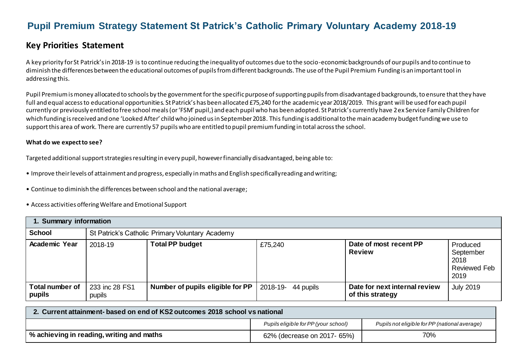# **Pupil Premium Strategy Statement St Patrick's Catholic Primary Voluntary Academy 2018-19**

## **Key Priorities Statement**

A key priority for St Patrick's in 2018-19 is to continue reducing the inequality of outcomes due to the socio-economic backgrounds of our pupils and to continue to diminish the differences between the educational outcomes of pupils from different backgrounds. The use of the Pupil Premium Funding is an important tool in addressing this.

Pupil Premium is money allocated to schools by the government for the specific purpose of supporting pupils from disadvantaged backgrounds, to ensure that they have full and equal access to educational opportunities. St Patrick's has been allocated £75,240 for the academic year 2018/2019. This grant will be used for each pupil currently or previously entitled to free school meals (or 'FSM' pupil,) and each pupil who has been adopted. St Patrick's currently have 2ex Service Family Children for which funding is received and one 'Looked After' child who joined us in September 2018. This funding is additionalto the main academy budget funding we use to support this area of work. There are currently 57 pupils who are entitled to pupil premium funding in total across the school.

#### **What do we expect to see?**

Targeted additional support strategies resulting in every pupil, however financially disadvantaged, being able to:

- Improve their levels of attainment and progress, especially in maths and English specifically reading and writing;
- Continue to diminish the differences between school and the national average;
- Access activities offering Welfare and Emotional Support

| 1. Summary information           |                          |                                                 |                    |                                                   |                                                              |  |  |
|----------------------------------|--------------------------|-------------------------------------------------|--------------------|---------------------------------------------------|--------------------------------------------------------------|--|--|
| <b>School</b>                    |                          | St Patrick's Catholic Primary Voluntary Academy |                    |                                                   |                                                              |  |  |
| <b>Academic Year</b>             | 2018-19                  | <b>Total PP budget</b>                          | £75,240            | Date of most recent PP<br><b>Review</b>           | Produced<br>September<br>2018<br><b>Reviewed Feb</b><br>2019 |  |  |
| <b>Total number of</b><br>pupils | 233 inc 28 FS1<br>pupils | Number of pupils eligible for PP                | 2018-19- 44 pupils | Date for next internal review<br>of this strategy | <b>July 2019</b>                                             |  |  |

| 2. Current attainment- based on end of KS2 outcomes 2018 school vs national |                                      |                                               |  |  |
|-----------------------------------------------------------------------------|--------------------------------------|-----------------------------------------------|--|--|
|                                                                             | Pupils eligible for PP (your school) | Pupils not eligible for PP (national average) |  |  |
| % achieving in reading, writing and maths                                   | 62% (decrease on 2017- 65%)          | 70%                                           |  |  |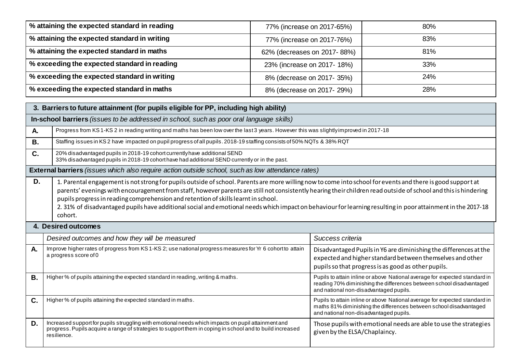| % attaining the expected standard in reading | 77% (increase on 2017-65%)  | 80%        |
|----------------------------------------------|-----------------------------|------------|
| % attaining the expected standard in writing | 77% (increase on 2017-76%)  | 83%        |
| % attaining the expected standard in maths   | 62% (decreases on 2017-88%) | 81%        |
| % exceeding the expected standard in reading | 23% (increase on 2017-18%)  | 33%        |
| % exceeding the expected standard in writing | 8% (decrease on 2017-35%)   | 24%        |
| % exceeding the expected standard in maths   | 8% (decrease on 2017-29%)   | <b>28%</b> |

|           | 3. Barriers to future attainment (for pupils eligible for PP, including high ability)                                                                                                                                                                                                                                                                                                                                                                                                                                                                                                           |                                                                                                   |  |  |  |  |
|-----------|-------------------------------------------------------------------------------------------------------------------------------------------------------------------------------------------------------------------------------------------------------------------------------------------------------------------------------------------------------------------------------------------------------------------------------------------------------------------------------------------------------------------------------------------------------------------------------------------------|---------------------------------------------------------------------------------------------------|--|--|--|--|
|           | In-school barriers (issues to be addressed in school, such as poor oral language skills)                                                                                                                                                                                                                                                                                                                                                                                                                                                                                                        |                                                                                                   |  |  |  |  |
| A.        | Progress from KS1-KS2 in reading writing and maths has been low over the last 3 years. However this was slightlyimproved in 2017-18                                                                                                                                                                                                                                                                                                                                                                                                                                                             |                                                                                                   |  |  |  |  |
| <b>B.</b> | Staffing issues in KS2 have impacted on pupil progress of all pupils. 2018-19 staffing consists of 50% NQTs & 38% RQT                                                                                                                                                                                                                                                                                                                                                                                                                                                                           |                                                                                                   |  |  |  |  |
| C.        | 20% disadvantaged pupils in 2018-19 cohort currently have additional SEND<br>33% disadvantaged pupils in 2018-19 cohort have had additional SEND currently or in the past.                                                                                                                                                                                                                                                                                                                                                                                                                      |                                                                                                   |  |  |  |  |
|           | External barriers (issues which also require action outside school, such as low attendance rates)                                                                                                                                                                                                                                                                                                                                                                                                                                                                                               |                                                                                                   |  |  |  |  |
| D.        | 1. Parental engagement is not strong for pupils outside of school. Parents are more willing now to come into school for events and there is good support at<br>parents' evenings with encouragement from staff, however parents are still not consistently hearing their children read outside of school and this is hindering<br>pupils progress in reading comprehension and retention of skills learnt in school.<br>2. 31% of disadvantaged pupils have additional social and emotional needs which impact on behaviour for learning resulting in poor attainment in the 2017-18<br>cohort. |                                                                                                   |  |  |  |  |
|           | 4. Desired outcomes                                                                                                                                                                                                                                                                                                                                                                                                                                                                                                                                                                             |                                                                                                   |  |  |  |  |
|           | Desired outcomes and how they will be measured                                                                                                                                                                                                                                                                                                                                                                                                                                                                                                                                                  | Success criteria                                                                                  |  |  |  |  |
| A.        | Improve higher rates of progress from KS 1-KS 2; use national progress measures for Yr 6 cohort to attain<br>Disadvantaged Pupils in Y6 are diminishing the differences at the<br>a progress score of 0<br>expected and higher standard between themselves and other<br>pupils so that progress is as good as other pupils.                                                                                                                                                                                                                                                                     |                                                                                                   |  |  |  |  |
| <b>B.</b> | Higher % of pupils attaining the expected standard in reading, writing & maths.<br>Pupils to attain inline or above National average for expected standard in<br>reading 70% diminishing the differences between school disadvantaged<br>and national non-disadvantaged pupils.                                                                                                                                                                                                                                                                                                                 |                                                                                                   |  |  |  |  |
| C.        | Higher % of pupils attaining the expected standard in maths.<br>Pupils to attain inline or above National average for expected standard in<br>maths 81% diminishing the differences between school disadvantaged<br>and national non-disadvantaged pupils.                                                                                                                                                                                                                                                                                                                                      |                                                                                                   |  |  |  |  |
| D.        | Increased support for pupils struggling with emotional needs which impacts on pupil attainment and<br>progress. Pupils acquire a range of strategies to support them in coping in school and to build increased<br>resilience.                                                                                                                                                                                                                                                                                                                                                                  | Those pupils with emotional needs are able to use the strategies<br>given by the ELSA/Chaplaincy. |  |  |  |  |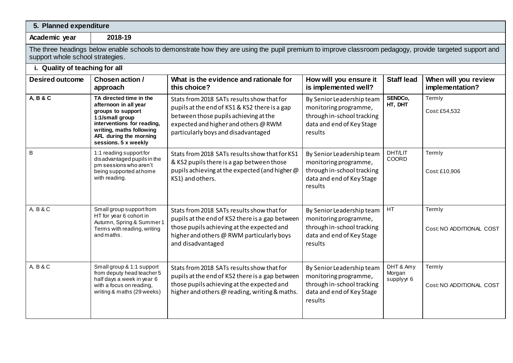| 5. Planned expenditure         |                                                                                                                                                                                                      |                                                                                                                                                                                                                     |                                                                                                                          |                                   |                                         |  |  |
|--------------------------------|------------------------------------------------------------------------------------------------------------------------------------------------------------------------------------------------------|---------------------------------------------------------------------------------------------------------------------------------------------------------------------------------------------------------------------|--------------------------------------------------------------------------------------------------------------------------|-----------------------------------|-----------------------------------------|--|--|
| Academic year                  | 2018-19                                                                                                                                                                                              |                                                                                                                                                                                                                     |                                                                                                                          |                                   |                                         |  |  |
|                                | The three headings below enable schools to demonstrate how they are using the pupil premium to improve classroom pedagogy, provide targeted support and<br>support whole school strategies.          |                                                                                                                                                                                                                     |                                                                                                                          |                                   |                                         |  |  |
| i. Quality of teaching for all |                                                                                                                                                                                                      |                                                                                                                                                                                                                     |                                                                                                                          |                                   |                                         |  |  |
| <b>Desired outcome</b>         | Chosen action /<br>approach                                                                                                                                                                          | What is the evidence and rationale for<br>this choice?                                                                                                                                                              | How will you ensure it<br>is implemented well?                                                                           | <b>Staff lead</b>                 | When will you review<br>implementation? |  |  |
| A, B & C                       | TA directed time in the<br>afternoon in all year<br>groups to support<br>1:1/small group<br>interventions for reading,<br>writing, maths following<br>AFL during the morning<br>sessions. 5 x weekly | Stats from 2018 SATs results show that for<br>pupils at the end of KS1 & KS2 there is a gap<br>between those pupils achieving at the<br>expected and higher and others @ RWM<br>particularly boys and disadvantaged | By Senior Leadership team<br>monitoring programme,<br>through in-school tracking<br>data and end of Key Stage<br>results | SENDCo,<br>HT, DHT                | Termly<br>Cost: £54,532                 |  |  |
| B                              | 1:1 reading support for<br>disadvantaged pupils in the<br>pm sessions who aren't<br>being supported at home<br>with reading.                                                                         | Stats from 2018 SATs results show that for KS1<br>& KS2 pupils there is a gap between those<br>pupils achieving at the expected (and higher @<br>KS1) and others.                                                   | By Senior Leadership team<br>monitoring programme,<br>through in-school tracking<br>data and end of Key Stage<br>results | DHT/LIT<br>COORD                  | Termly<br>Cost: £10,906                 |  |  |
| A, B & C                       | Small group support from<br>HT for year 6 cohort in<br>Autumn, Spring & Summer 1<br>Terms with reading, writing<br>and maths.                                                                        | Stats from 2018 SATs results show that for<br>pupils at the end of KS2 there is a gap between<br>those pupils achieving at the expected and<br>higher and others @ RWM particularly boys<br>and disadvantaged       | By Senior Leadership team<br>monitoring programme,<br>through in-school tracking<br>data and end of Key Stage<br>results | HT                                | Termly<br>Cost: NO ADDITIONAL COST      |  |  |
| A, B & C                       | Small group & 1:1 support<br>from deputy head teacher 5<br>half days a week in year 6<br>with a focus on reading,<br>writing & maths (29 weeks)                                                      | Stats from 2018 SATs results show that for<br>pupils at the end of KS2 there is a gap between<br>those pupils achieving at the expected and<br>higher and others @ reading, writing & maths.                        | By Senior Leadership team<br>monitoring programme,<br>through in-school tracking<br>data and end of Key Stage<br>results | DHT & Amy<br>Morgan<br>supplyyr 6 | Termly<br>Cost: NO ADDITIONAL COST      |  |  |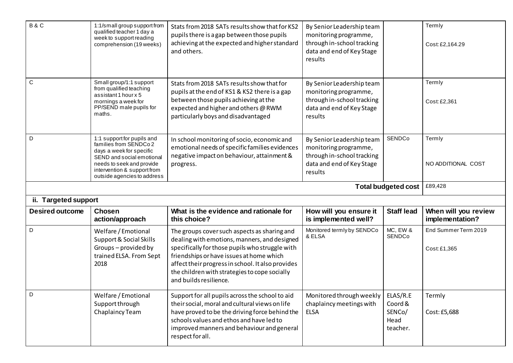| B&C                    | 1:1/small group support from<br>qualified teacher 1 day a<br>week to support reading<br>comprehension (19 weeks)                                                                                         | Stats from 2018 SATs results show that for KS2<br>pupils there is a gap between those pupils<br>achieving at the expected and higher standard<br>and others.                                                                                                                                                                | By Senior Leadership team<br>monitoring programme,<br>through in-school tracking<br>data and end of Key Stage<br>results |                            | Termly<br>Cost: £2,164.29               |
|------------------------|----------------------------------------------------------------------------------------------------------------------------------------------------------------------------------------------------------|-----------------------------------------------------------------------------------------------------------------------------------------------------------------------------------------------------------------------------------------------------------------------------------------------------------------------------|--------------------------------------------------------------------------------------------------------------------------|----------------------------|-----------------------------------------|
| C                      | Small group/1:1 support<br>from qualified teaching<br>assistant 1 hour x 5<br>mornings a week for<br>PP/SEND male pupils for<br>maths.                                                                   | Stats from 2018 SATs results show that for<br>pupils at the end of KS1 & KS2 there is a gap<br>between those pupils achieving at the<br>expected and higher and others @ RWM<br>particularly boys and disadvantaged                                                                                                         | By Senior Leadership team<br>monitoring programme,<br>through in-school tracking<br>data and end of Key Stage<br>results |                            | Termly<br>Cost: £2,361                  |
| D                      | 1:1 support for pupils and<br>families from SENDCo 2<br>days a week for specific<br>SEND and social emotional<br>needs to seek and provide<br>intervention & support from<br>outside agencies to address | In school monitoring of socio, economic and<br>emotional needs of specific families evidences<br>negative impact on behaviour, attainment &<br>progress.                                                                                                                                                                    | By Senior Leadership team<br>monitoring programme,<br>through in-school tracking<br>data and end of Key Stage<br>results | SENDCo                     | Termly<br>NO ADDITIONAL COST            |
|                        |                                                                                                                                                                                                          |                                                                                                                                                                                                                                                                                                                             |                                                                                                                          |                            |                                         |
|                        |                                                                                                                                                                                                          |                                                                                                                                                                                                                                                                                                                             |                                                                                                                          | <b>Total budgeted cost</b> | £89,428                                 |
| ii. Targeted support   |                                                                                                                                                                                                          |                                                                                                                                                                                                                                                                                                                             |                                                                                                                          |                            |                                         |
| <b>Desired outcome</b> | <b>Chosen</b><br>action/approach                                                                                                                                                                         | What is the evidence and rationale for<br>this choice?                                                                                                                                                                                                                                                                      | How will you ensure it<br>is implemented well?                                                                           | <b>Staff lead</b>          | When will you review<br>implementation? |
| D                      | Welfare / Emotional<br>Support & Social Skills<br>Groups-provided by<br>trained ELSA. From Sept<br>2018                                                                                                  | The groups cover such aspects as sharing and<br>dealing with emotions, manners, and designed<br>specifically for those pupils who struggle with<br>friendships or have issues at home which<br>affect their progress in school. It also provides<br>the children with strategies to cope socially<br>and builds resilience. | Monitored termly by SENDCo<br>& ELSA                                                                                     | MC, EW &<br><b>SENDCo</b>  | End Summer Term 2019<br>Cost: £1,365    |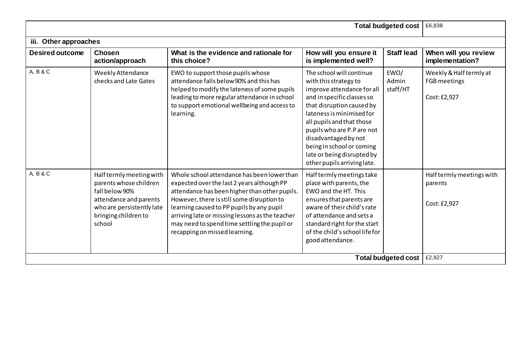|                        | <b>Total budgeted cost</b>                                                                                                                                    | £6,838                                                                                                                                                                                                                                                                                                                                                                    |                                                                                                                                                                                                                                                                                                                                                      |                            |                                                         |
|------------------------|---------------------------------------------------------------------------------------------------------------------------------------------------------------|---------------------------------------------------------------------------------------------------------------------------------------------------------------------------------------------------------------------------------------------------------------------------------------------------------------------------------------------------------------------------|------------------------------------------------------------------------------------------------------------------------------------------------------------------------------------------------------------------------------------------------------------------------------------------------------------------------------------------------------|----------------------------|---------------------------------------------------------|
| iii. Other approaches  |                                                                                                                                                               |                                                                                                                                                                                                                                                                                                                                                                           |                                                                                                                                                                                                                                                                                                                                                      |                            |                                                         |
| <b>Desired outcome</b> | <b>Chosen</b><br>action/approach                                                                                                                              | What is the evidence and rationale for<br>this choice?                                                                                                                                                                                                                                                                                                                    | How will you ensure it<br>is implemented well?                                                                                                                                                                                                                                                                                                       | <b>Staff lead</b>          | When will you review<br>implementation?                 |
| A, B & C               | Weekly Attendance<br>checks and Late Gates                                                                                                                    | EWO to support those pupils whose<br>attendance falls below 90% and this has<br>helped to modify the lateness of some pupils<br>leading to more regular attendance in school<br>to support emotional wellbeing and access to<br>learning.                                                                                                                                 | The school will continue<br>with this strategy to<br>improve attendance for all<br>and in specific classes so<br>that disruption caused by<br>lateness is minimised for<br>all pupils and that those<br>pupils who are P.P are not<br>disadvantaged by not<br>being in school or coming<br>late or being disrupted by<br>other pupils arriving late. | EWO/<br>Admin<br>staff/HT  | Weekly & Half termly at<br>FGB meetings<br>Cost: £2,927 |
| A, B & C               | Half termly meeting with<br>parents whose children<br>fall below 90%<br>attendance and parents<br>who are persistently late<br>bringing children to<br>school | Whole school attendance has been lower than<br>expected over the last 2 years although PP<br>attendance has been higher than other pupils.<br>However, there is still some disruption to<br>learning caused to PP pupils by any pupil<br>arriving late or missing lessons as the teacher<br>may need to spend time settling the pupil or<br>recapping on missed learning. | Half termly meetings take<br>place with parents, the<br>EWO and the HT. This<br>ensures that parents are<br>aware of their child's rate<br>of attendance and sets a<br>standard right for the start<br>of the child's school life for<br>good attendance.                                                                                            |                            | Half termly meetings with<br>parents<br>Cost: £2,927    |
|                        |                                                                                                                                                               |                                                                                                                                                                                                                                                                                                                                                                           |                                                                                                                                                                                                                                                                                                                                                      | <b>Total budgeted cost</b> | £2,927                                                  |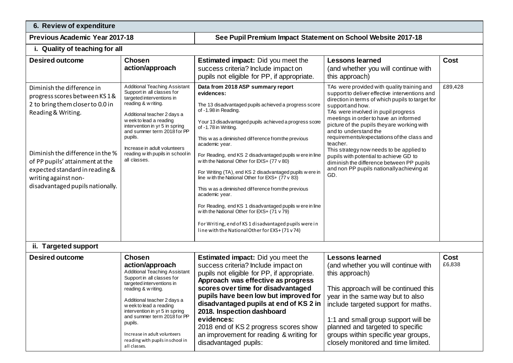**6. Review of expenditure** 

**Previous Academic Year 2017-18 See Pupil Premium Impact Statement on School Website 2017-18**

### **i. Quality of teaching for all**

| <b>Desired outcome</b>                                                                                                                                                                                                                                                                    | <b>Chosen</b><br>action/approach                                                                                                                                                                                                                                                                                                                                                     | <b>Estimated impact:</b> Did you meet the<br>success criteria? Include impact on<br>pupils not eligible for PP, if appropriate.                                                                                                                                                                                                                                                                                                                                                                                                                                                                                                                                                                                                                                                                                                 | <b>Lessons learned</b><br>(and whether you will continue with<br>this approach)                                                                                                                                                                                                                                                                                                                                                                                                                                                                                                | <b>Cost</b>    |
|-------------------------------------------------------------------------------------------------------------------------------------------------------------------------------------------------------------------------------------------------------------------------------------------|--------------------------------------------------------------------------------------------------------------------------------------------------------------------------------------------------------------------------------------------------------------------------------------------------------------------------------------------------------------------------------------|---------------------------------------------------------------------------------------------------------------------------------------------------------------------------------------------------------------------------------------------------------------------------------------------------------------------------------------------------------------------------------------------------------------------------------------------------------------------------------------------------------------------------------------------------------------------------------------------------------------------------------------------------------------------------------------------------------------------------------------------------------------------------------------------------------------------------------|--------------------------------------------------------------------------------------------------------------------------------------------------------------------------------------------------------------------------------------------------------------------------------------------------------------------------------------------------------------------------------------------------------------------------------------------------------------------------------------------------------------------------------------------------------------------------------|----------------|
| Diminish the difference in<br>progress scores between KS1&<br>2 to bring them closer to 0.0 in<br>Reading & Writing.<br>Diminish the difference in the %<br>of PP pupils' attainment at the<br>expected standard in reading &<br>writing against non-<br>disadvantaged pupils nationally. | <b>Additional Teaching Assistant</b><br>Support in all classes for<br>targeted interventions in<br>reading & w riting.<br>Additional teacher 2 days a<br>w eek to lead a reading<br>intervention in yr 5 in spring<br>and summer term 2018 for PP<br>pupils.<br>Increase in adult volunteers<br>reading w ith pupils in school in<br>all classes.                                    | Data from 2018 ASP summary report<br>evidences:<br>The 13 disadvantaged pupils achieved a progress score<br>of -1.98 in Reading.<br>Your 13 disadvantaged pupils achieved a progress score<br>of -1.78 in Writing.<br>This w as a diminished difference from the previous<br>academic year.<br>For Reading, end KS 2 disadvantaged pupils w ere in line<br>w ith the National Other for EXS+ $(77 \vee 80)$<br>For Writing (TA), end KS 2 disadvantaged pupils w ere in<br>line with the National Other for EXS+ (77 v 83)<br>This w as a diminished difference from the previous<br>academic year.<br>For Reading, end KS 1 disadvantaged pupils w ere in line<br>w ith the National Other for EXS+ $(71 \vee 79)$<br>For Writing, end of KS 1 disadvantaged pupils were in<br>line with the National Other for EXS+ (71 v 74) | TAs were provided with quality training and<br>support to deliver effective interventions and<br>direction in terms of which pupils to target for<br>support and how.<br>TAs were involved in pupil progress<br>meetings in order to have an informed<br>picture of the pupils they are working with<br>and to understand the<br>requirements/expectations of the class and<br>teacher.<br>This strategy now needs to be applied to<br>pupils with potential to achieve GD to<br>diminish the difference between PP pupils<br>and non PP pupils nationally achieving at<br>GD. | £89,428        |
| ii. Targeted support                                                                                                                                                                                                                                                                      |                                                                                                                                                                                                                                                                                                                                                                                      |                                                                                                                                                                                                                                                                                                                                                                                                                                                                                                                                                                                                                                                                                                                                                                                                                                 |                                                                                                                                                                                                                                                                                                                                                                                                                                                                                                                                                                                |                |
| <b>Desired outcome</b>                                                                                                                                                                                                                                                                    | <b>Chosen</b><br>action/approach<br><b>Additional Teaching Assistant</b><br>Support in all classes for<br>targeted interventions in<br>reading & w riting.<br>Additional teacher 2 days a<br>w eek to lead a reading<br>intervention in yr 5 in spring<br>and summer term 2018 for PP<br>pupils.<br>Increase in adult volunteers<br>reading with pupils in school in<br>all classes. | <b>Estimated impact:</b> Did you meet the<br>success criteria? Include impact on<br>pupils not eligible for PP, if appropriate.<br>Approach was effective as progress<br>scores over time for disadvantaged<br>pupils have been low but improved for<br>disadvantaged pupils at end of KS 2 in<br>2018. Inspection dashboard<br>evidences:<br>2018 end of KS 2 progress scores show<br>an improvement for reading & writing for<br>disadvantaged pupils:                                                                                                                                                                                                                                                                                                                                                                        | <b>Lessons learned</b><br>(and whether you will continue with<br>this approach)<br>This approach will be continued this<br>year in the same way but to also<br>include targeted support for maths.<br>1:1 and small group support will be<br>planned and targeted to specific<br>groups within specific year groups,<br>closely monitored and time limited.                                                                                                                                                                                                                    | Cost<br>£6,838 |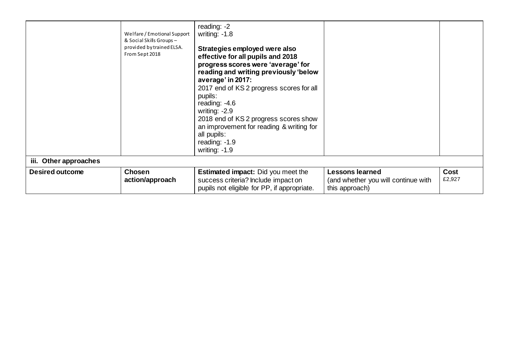|                        | Welfare / Emotional Support<br>& Social Skills Groups -<br>provided by trained ELSA.<br>From Sept 2018 | reading: -2<br>writing: $-1.8$<br>Strategies employed were also<br>effective for all pupils and 2018<br>progress scores were 'average' for<br>reading and writing previously 'below<br>average' in 2017:<br>2017 end of KS 2 progress scores for all<br>pupils:<br>reading: $-4.6$<br>writing: $-2.9$<br>2018 end of KS 2 progress scores show<br>an improvement for reading & writing for<br>all pupils:<br>reading: $-1.9$<br>writing: $-1.9$ |                                                                                 |                |
|------------------------|--------------------------------------------------------------------------------------------------------|-------------------------------------------------------------------------------------------------------------------------------------------------------------------------------------------------------------------------------------------------------------------------------------------------------------------------------------------------------------------------------------------------------------------------------------------------|---------------------------------------------------------------------------------|----------------|
| iii. Other approaches  |                                                                                                        |                                                                                                                                                                                                                                                                                                                                                                                                                                                 |                                                                                 |                |
| <b>Desired outcome</b> | <b>Chosen</b><br>action/approach                                                                       | <b>Estimated impact:</b> Did you meet the<br>success criteria? Include impact on<br>pupils not eligible for PP, if appropriate.                                                                                                                                                                                                                                                                                                                 | <b>Lessons learned</b><br>(and whether you will continue with<br>this approach) | Cost<br>£2,927 |